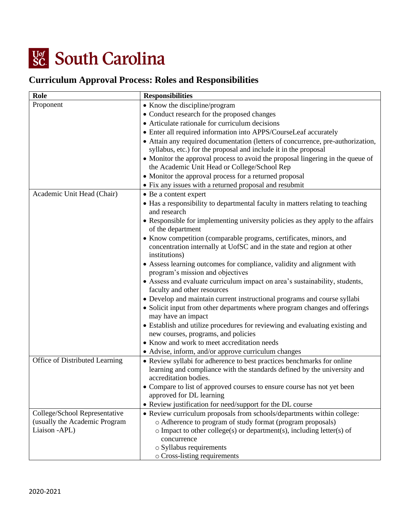

## **Curriculum Approval Process: Roles and Responsibilities**

| Role                           | <b>Responsibilities</b>                                                         |
|--------------------------------|---------------------------------------------------------------------------------|
| Proponent                      | • Know the discipline/program                                                   |
|                                | • Conduct research for the proposed changes                                     |
|                                | • Articulate rationale for curriculum decisions                                 |
|                                | • Enter all required information into APPS/CourseLeaf accurately                |
|                                | • Attain any required documentation (letters of concurrence, pre-authorization, |
|                                | syllabus, etc.) for the proposal and include it in the proposal                 |
|                                | • Monitor the approval process to avoid the proposal lingering in the queue of  |
|                                | the Academic Unit Head or College/School Rep                                    |
|                                | • Monitor the approval process for a returned proposal                          |
|                                | • Fix any issues with a returned proposal and resubmit                          |
| Academic Unit Head (Chair)     | • Be a content expert                                                           |
|                                | • Has a responsibility to departmental faculty in matters relating to teaching  |
|                                | and research                                                                    |
|                                | • Responsible for implementing university policies as they apply to the affairs |
|                                | of the department                                                               |
|                                | • Know competition (comparable programs, certificates, minors, and              |
|                                | concentration internally at UofSC and in the state and region at other          |
|                                | institutions)                                                                   |
|                                | • Assess learning outcomes for compliance, validity and alignment with          |
|                                | program's mission and objectives                                                |
|                                | • Assess and evaluate curriculum impact on area's sustainability, students,     |
|                                | faculty and other resources                                                     |
|                                | • Develop and maintain current instructional programs and course syllabi        |
|                                | • Solicit input from other departments where program changes and offerings      |
|                                | may have an impact                                                              |
|                                | • Establish and utilize procedures for reviewing and evaluating existing and    |
|                                | new courses, programs, and policies                                             |
|                                | • Know and work to meet accreditation needs                                     |
|                                | • Advise, inform, and/or approve curriculum changes                             |
| Office of Distributed Learning | • Review syllabi for adherence to best practices benchmarks for online          |
|                                | learning and compliance with the standards defined by the university and        |
|                                | accreditation bodies.                                                           |
|                                | • Compare to list of approved courses to ensure course has not yet been         |
|                                | approved for DL learning                                                        |
|                                | • Review justification for need/support for the DL course                       |
| College/School Representative  | • Review curriculum proposals from schools/departments within college:          |
| (usually the Academic Program  | o Adherence to program of study format (program proposals)                      |
| Liaison - APL)                 | $\circ$ Impact to other college(s) or department(s), including letter(s) of     |
|                                | concurrence                                                                     |
|                                | $\circ$ Syllabus requirements                                                   |
|                                | o Cross-listing requirements                                                    |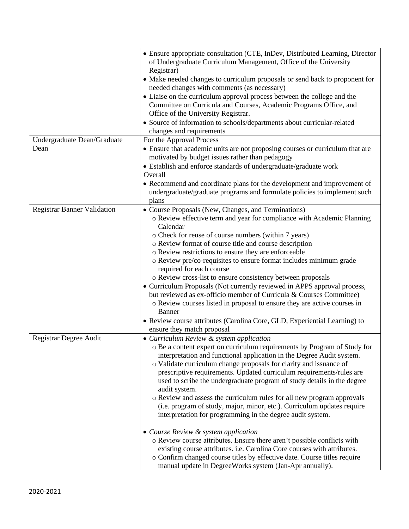| • Ensure appropriate consultation (CTE, InDev, Distributed Learning, Director<br>of Undergraduate Curriculum Management, Office of the University<br>Registrar)<br>• Make needed changes to curriculum proposals or send back to proponent for<br>needed changes with comments (as necessary)<br>• Liaise on the curriculum approval process between the college and the<br>Committee on Curricula and Courses, Academic Programs Office, and<br>Office of the University Registrar.<br>• Source of information to schools/departments about curricular-related<br>changes and requirements |
|---------------------------------------------------------------------------------------------------------------------------------------------------------------------------------------------------------------------------------------------------------------------------------------------------------------------------------------------------------------------------------------------------------------------------------------------------------------------------------------------------------------------------------------------------------------------------------------------|
| For the Approval Process                                                                                                                                                                                                                                                                                                                                                                                                                                                                                                                                                                    |
| • Ensure that academic units are not proposing courses or curriculum that are<br>motivated by budget issues rather than pedagogy                                                                                                                                                                                                                                                                                                                                                                                                                                                            |
| • Establish and enforce standards of undergraduate/graduate work                                                                                                                                                                                                                                                                                                                                                                                                                                                                                                                            |
| Overall                                                                                                                                                                                                                                                                                                                                                                                                                                                                                                                                                                                     |
| • Recommend and coordinate plans for the development and improvement of                                                                                                                                                                                                                                                                                                                                                                                                                                                                                                                     |
| undergraduate/graduate programs and formulate policies to implement such                                                                                                                                                                                                                                                                                                                                                                                                                                                                                                                    |
| plans                                                                                                                                                                                                                                                                                                                                                                                                                                                                                                                                                                                       |
| • Course Proposals (New, Changes, and Terminations)<br>o Review effective term and year for compliance with Academic Planning                                                                                                                                                                                                                                                                                                                                                                                                                                                               |
| Calendar                                                                                                                                                                                                                                                                                                                                                                                                                                                                                                                                                                                    |
| o Check for reuse of course numbers (within 7 years)                                                                                                                                                                                                                                                                                                                                                                                                                                                                                                                                        |
| o Review format of course title and course description                                                                                                                                                                                                                                                                                                                                                                                                                                                                                                                                      |
| o Review restrictions to ensure they are enforceable                                                                                                                                                                                                                                                                                                                                                                                                                                                                                                                                        |
| o Review pre/co-requisites to ensure format includes minimum grade<br>required for each course                                                                                                                                                                                                                                                                                                                                                                                                                                                                                              |
| o Review cross-list to ensure consistency between proposals                                                                                                                                                                                                                                                                                                                                                                                                                                                                                                                                 |
| • Curriculum Proposals (Not currently reviewed in APPS approval process,                                                                                                                                                                                                                                                                                                                                                                                                                                                                                                                    |
| but reviewed as ex-officio member of Curricula & Courses Committee)<br>o Review courses listed in proposal to ensure they are active courses in<br>Banner                                                                                                                                                                                                                                                                                                                                                                                                                                   |
| · Review course attributes (Carolina Core, GLD, Experiential Learning) to                                                                                                                                                                                                                                                                                                                                                                                                                                                                                                                   |
| ensure they match proposal                                                                                                                                                                                                                                                                                                                                                                                                                                                                                                                                                                  |
| • Curriculum Review & system application                                                                                                                                                                                                                                                                                                                                                                                                                                                                                                                                                    |
| o Be a content expert on curriculum requirements by Program of Study for                                                                                                                                                                                                                                                                                                                                                                                                                                                                                                                    |
| interpretation and functional application in the Degree Audit system.                                                                                                                                                                                                                                                                                                                                                                                                                                                                                                                       |
| o Validate curriculum change proposals for clarity and issuance of                                                                                                                                                                                                                                                                                                                                                                                                                                                                                                                          |
| prescriptive requirements. Updated curriculum requirements/rules are                                                                                                                                                                                                                                                                                                                                                                                                                                                                                                                        |
| used to scribe the undergraduate program of study details in the degree<br>audit system.                                                                                                                                                                                                                                                                                                                                                                                                                                                                                                    |
| o Review and assess the curriculum rules for all new program approvals                                                                                                                                                                                                                                                                                                                                                                                                                                                                                                                      |
| (i.e. program of study, major, minor, etc.). Curriculum updates require                                                                                                                                                                                                                                                                                                                                                                                                                                                                                                                     |
| interpretation for programming in the degree audit system.                                                                                                                                                                                                                                                                                                                                                                                                                                                                                                                                  |
| • Course Review & system application                                                                                                                                                                                                                                                                                                                                                                                                                                                                                                                                                        |
| o Review course attributes. Ensure there aren't possible conflicts with                                                                                                                                                                                                                                                                                                                                                                                                                                                                                                                     |
| existing course attributes. i.e. Carolina Core courses with attributes.                                                                                                                                                                                                                                                                                                                                                                                                                                                                                                                     |
| o Confirm changed course titles by effective date. Course titles require<br>manual update in DegreeWorks system (Jan-Apr annually).                                                                                                                                                                                                                                                                                                                                                                                                                                                         |
|                                                                                                                                                                                                                                                                                                                                                                                                                                                                                                                                                                                             |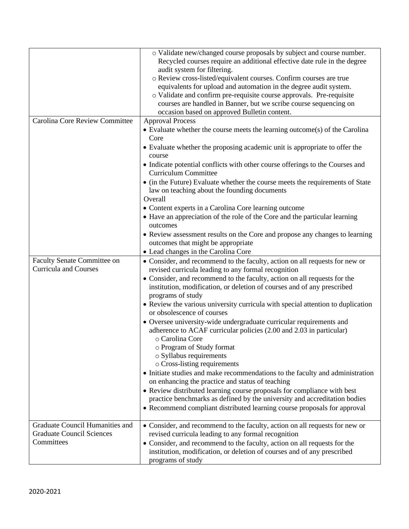|                                                                                   | o Validate new/changed course proposals by subject and course number.<br>Recycled courses require an additional effective date rule in the degree<br>audit system for filtering.<br>o Review cross-listed/equivalent courses. Confirm courses are true<br>equivalents for upload and automation in the degree audit system.<br>o Validate and confirm pre-requisite course approvals. Pre-requisite<br>courses are handled in Banner, but we scribe course sequencing on<br>occasion based on approved Bulletin content.                                                                                                                                                                                                                                                                                                                                                                                                                                                                                                                                                |
|-----------------------------------------------------------------------------------|-------------------------------------------------------------------------------------------------------------------------------------------------------------------------------------------------------------------------------------------------------------------------------------------------------------------------------------------------------------------------------------------------------------------------------------------------------------------------------------------------------------------------------------------------------------------------------------------------------------------------------------------------------------------------------------------------------------------------------------------------------------------------------------------------------------------------------------------------------------------------------------------------------------------------------------------------------------------------------------------------------------------------------------------------------------------------|
| Carolina Core Review Committee                                                    | <b>Approval Process</b><br>• Evaluate whether the course meets the learning outcome(s) of the Carolina<br>Core<br>• Evaluate whether the proposing academic unit is appropriate to offer the<br>course<br>• Indicate potential conflicts with other course offerings to the Courses and<br><b>Curriculum Committee</b><br>• (in the Future) Evaluate whether the course meets the requirements of State<br>law on teaching about the founding documents<br>Overall<br>• Content experts in a Carolina Core learning outcome<br>• Have an appreciation of the role of the Core and the particular learning<br>outcomes<br>• Review assessment results on the Core and propose any changes to learning                                                                                                                                                                                                                                                                                                                                                                    |
|                                                                                   | outcomes that might be appropriate<br>• Lead changes in the Carolina Core                                                                                                                                                                                                                                                                                                                                                                                                                                                                                                                                                                                                                                                                                                                                                                                                                                                                                                                                                                                               |
| <b>Faculty Senate Committee on</b><br><b>Curricula and Courses</b>                | • Consider, and recommend to the faculty, action on all requests for new or<br>revised curricula leading to any formal recognition<br>• Consider, and recommend to the faculty, action on all requests for the<br>institution, modification, or deletion of courses and of any prescribed<br>programs of study<br>• Review the various university curricula with special attention to duplication<br>or obsolescence of courses<br>• Oversee university-wide undergraduate curricular requirements and<br>adherence to ACAF curricular policies (2.00 and 2.03 in particular)<br>o Carolina Core<br>o Program of Study format<br>$\circ$ Syllabus requirements<br>o Cross-listing requirements<br>• Initiate studies and make recommendations to the faculty and administration<br>on enhancing the practice and status of teaching<br>• Review distributed learning course proposals for compliance with best<br>practice benchmarks as defined by the university and accreditation bodies<br>• Recommend compliant distributed learning course proposals for approval |
| Graduate Council Humanities and<br><b>Graduate Council Sciences</b><br>Committees | • Consider, and recommend to the faculty, action on all requests for new or<br>revised curricula leading to any formal recognition<br>• Consider, and recommend to the faculty, action on all requests for the<br>institution, modification, or deletion of courses and of any prescribed<br>programs of study                                                                                                                                                                                                                                                                                                                                                                                                                                                                                                                                                                                                                                                                                                                                                          |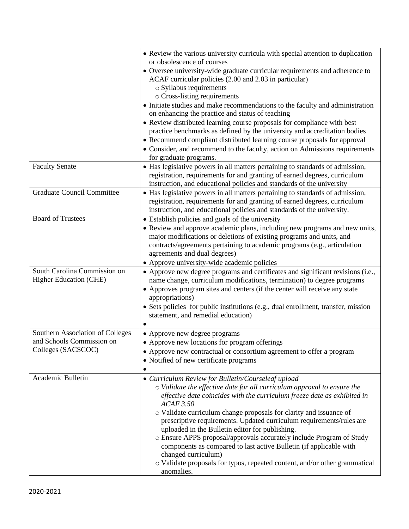|                                   | • Review the various university curricula with special attention to duplication                                                                            |
|-----------------------------------|------------------------------------------------------------------------------------------------------------------------------------------------------------|
|                                   | or obsolescence of courses                                                                                                                                 |
|                                   | • Oversee university-wide graduate curricular requirements and adherence to                                                                                |
|                                   | ACAF curricular policies (2.00 and 2.03 in particular)                                                                                                     |
|                                   | o Syllabus requirements                                                                                                                                    |
|                                   | o Cross-listing requirements                                                                                                                               |
|                                   | • Initiate studies and make recommendations to the faculty and administration<br>on enhancing the practice and status of teaching                          |
|                                   | • Review distributed learning course proposals for compliance with best                                                                                    |
|                                   | practice benchmarks as defined by the university and accreditation bodies                                                                                  |
|                                   | • Recommend compliant distributed learning course proposals for approval                                                                                   |
|                                   | • Consider, and recommend to the faculty, action on Admissions requirements                                                                                |
|                                   | for graduate programs.                                                                                                                                     |
| <b>Faculty Senate</b>             | • Has legislative powers in all matters pertaining to standards of admission,                                                                              |
|                                   | registration, requirements for and granting of earned degrees, curriculum                                                                                  |
|                                   | instruction, and educational policies and standards of the university                                                                                      |
| <b>Graduate Council Committee</b> |                                                                                                                                                            |
|                                   | • Has legislative powers in all matters pertaining to standards of admission,<br>registration, requirements for and granting of earned degrees, curriculum |
|                                   | instruction, and educational policies and standards of the university.                                                                                     |
| <b>Board of Trustees</b>          | • Establish policies and goals of the university                                                                                                           |
|                                   |                                                                                                                                                            |
|                                   | • Review and approve academic plans, including new programs and new units,                                                                                 |
|                                   | major modifications or deletions of existing programs and units, and                                                                                       |
|                                   | contracts/agreements pertaining to academic programs (e.g., articulation                                                                                   |
|                                   | agreements and dual degrees)<br>• Approve university-wide academic policies                                                                                |
| South Carolina Commission on      |                                                                                                                                                            |
| Higher Education (CHE)            | • Approve new degree programs and certificates and significant revisions (i.e.,                                                                            |
|                                   | name change, curriculum modifications, termination) to degree programs                                                                                     |
|                                   | • Approves program sites and centers (if the center will receive any state                                                                                 |
|                                   | appropriations)                                                                                                                                            |
|                                   | • Sets policies for public institutions (e.g., dual enrollment, transfer, mission                                                                          |
|                                   | statement, and remedial education)                                                                                                                         |
| Southern Association of Colleges  | • Approve new degree programs                                                                                                                              |
| and Schools Commission on         |                                                                                                                                                            |
| Colleges (SACSCOC)                | • Approve new locations for program offerings                                                                                                              |
|                                   | • Approve new contractual or consortium agreement to offer a program                                                                                       |
|                                   | • Notified of new certificate programs                                                                                                                     |
|                                   |                                                                                                                                                            |
| Academic Bulletin                 | • Curriculum Review for Bulletin/Courseleaf upload                                                                                                         |
|                                   | o Validate the effective date for all curriculum approval to ensure the                                                                                    |
|                                   | effective date coincides with the curriculum freeze date as exhibited in<br><b>ACAF 3.50</b>                                                               |
|                                   | o Validate curriculum change proposals for clarity and issuance of                                                                                         |
|                                   | prescriptive requirements. Updated curriculum requirements/rules are                                                                                       |
|                                   | uploaded in the Bulletin editor for publishing.                                                                                                            |
|                                   | o Ensure APPS proposal/approvals accurately include Program of Study                                                                                       |
|                                   | components as compared to last active Bulletin (if applicable with                                                                                         |
|                                   | changed curriculum)                                                                                                                                        |
|                                   | o Validate proposals for typos, repeated content, and/or other grammatical                                                                                 |
|                                   | anomalies.                                                                                                                                                 |